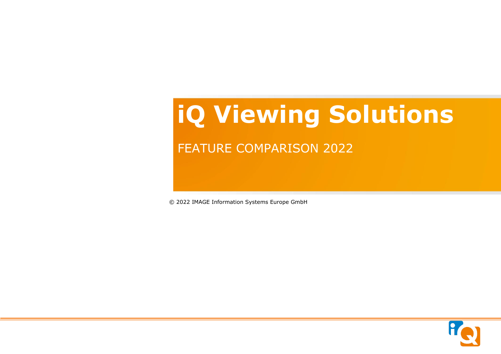# **iQ Viewing Solutions**

## FEATURE COMPARISON 2022

© 2022 IMAGE Information Systems Europe GmbH

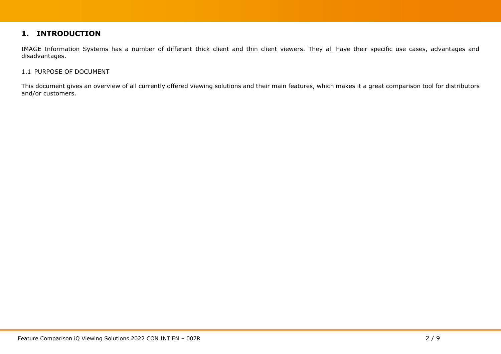#### **1. INTRODUCTION**

IMAGE Information Systems has a number of different thick client and thin client viewers. They all have their specific use cases, advantages and disadvantages.

#### 1.1 PURPOSE OF DOCUMENT

This document gives an overview of all currently offered viewing solutions and their main features, which makes it a great comparison tool for distributors and/or customers.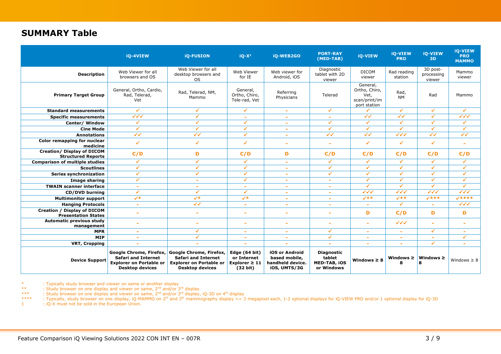### **SUMMARY Table**

|                                                                  | iQ-4VIEW                                                                                                          | <b>iO-FUSION</b>                                                                                                  | $iQ-X1$                                                        | iQ-WEB2GO                                                           | <b>PORT-RAY</b><br>(MED-TAB)                                     | iQ-VIEW                                                            | <b>iO-VIEW</b><br><b>PRO</b>     | <b>iO-VIEW</b><br><b>3D</b>      | <b>iO-VIEW</b><br><b>PRO</b><br><b>MAMMO</b> |
|------------------------------------------------------------------|-------------------------------------------------------------------------------------------------------------------|-------------------------------------------------------------------------------------------------------------------|----------------------------------------------------------------|---------------------------------------------------------------------|------------------------------------------------------------------|--------------------------------------------------------------------|----------------------------------|----------------------------------|----------------------------------------------|
| <b>Description</b>                                               | Web Viewer for all<br>browsers and OS                                                                             | Web Viewer for all<br>desktop browsers and<br><b>OS</b>                                                           | Web Viewer<br>for IE                                           | Web viewer for<br>Android, iOS                                      | Diagnostic<br>tablet with 2D<br>viewer                           | <b>DICOM</b><br>viewer                                             | Rad reading<br>station           | 3D post-<br>processing<br>viewer | Mammo<br>viewer                              |
| <b>Primary Target Group</b>                                      | General, Ortho, Cardio,<br>Rad, Telerad,<br>Vet                                                                   | Rad, Telerad, NM,<br>Mammo                                                                                        | General,<br>Ortho, Chiro,<br>Tele-rad, Vet                     | Referring<br>Physicians                                             | Telerad                                                          | General,<br>Ortho, Chiro,<br>Vet,<br>scan/print/im<br>port station | Rad,<br><b>NM</b>                | Rad                              | Mammo                                        |
| <b>Standard measurements</b>                                     | $\checkmark$                                                                                                      | $\checkmark$                                                                                                      | $\checkmark$                                                   | $\sim$                                                              | $\checkmark$                                                     | ✓                                                                  | ✓                                | ✔                                | ✔                                            |
| <b>Specific measurements</b>                                     |                                                                                                                   | $\checkmark$                                                                                                      | $\sim$                                                         | $\sim$                                                              | ÷                                                                | $\overline{\checkmark}$                                            | $\overline{\checkmark}$          | ✔                                | $\overline{\mathcal{A}}$                     |
| Center/ Window                                                   | ✓                                                                                                                 | $\checkmark$                                                                                                      | $\checkmark$                                                   | $\sim$                                                              | ✓                                                                | $\checkmark$                                                       | ✓                                | ✓                                | ✔                                            |
| <b>Cine Mode</b>                                                 | ✔                                                                                                                 | $\checkmark$                                                                                                      | $\checkmark$                                                   | $\sim$                                                              | ✔                                                                | $\checkmark$                                                       | ✔                                | ✓                                | $\checkmark$                                 |
| <b>Annotations</b>                                               | $\overline{\mathscr{A}}$                                                                                          | $\checkmark$                                                                                                      | $\checkmark$                                                   | $\sim$                                                              | $\checkmark$                                                     | $\checkmark$                                                       | $\checkmark$                     | $\overline{\checkmark}$          | $\checkmark$                                 |
| Color remapping for nuclear<br>medicine                          | $\checkmark$                                                                                                      | $\checkmark$                                                                                                      | $\checkmark$                                                   | $\sim$                                                              | $\overline{\phantom{a}}$                                         | $\checkmark$                                                       | ✔                                | $\checkmark$                     | ×.                                           |
| <b>Creation/ Display of DICOM</b><br><b>Structured Reports</b>   | C/D                                                                                                               | D                                                                                                                 | C/D                                                            | D                                                                   | C/D                                                              | C/D                                                                | C/D                              | C/D                              | C/D                                          |
| <b>Comparison of multiple studies</b>                            | ✔                                                                                                                 | $\checkmark$                                                                                                      | ✔                                                              | ٠                                                                   | ✓                                                                | $\checkmark$                                                       | ✓                                | ✓                                | ✓                                            |
| <b>Scoutlines</b>                                                | ✔                                                                                                                 | $\checkmark$                                                                                                      | $\checkmark$                                                   | ٠                                                                   | ✔                                                                | ✔                                                                  | ✔                                | ✔                                | ✔                                            |
| <b>Series synchronization</b>                                    | ✓                                                                                                                 | $\checkmark$                                                                                                      | $\checkmark$                                                   | ٠                                                                   | $\mathcal{L}$                                                    | ✔                                                                  | ✔                                | $\mathcal{V}$                    | $\checkmark$                                 |
| <b>Image sharing</b>                                             | $\checkmark$                                                                                                      | ۰                                                                                                                 | $\checkmark$                                                   | $\sim$                                                              | ۰                                                                | $\checkmark$                                                       | ✓                                | ✓                                | $\checkmark$                                 |
| <b>TWAIN scanner interface</b>                                   | $\sim$                                                                                                            | $\sim$                                                                                                            | $\sim$                                                         | $\sim$                                                              | $\sim$                                                           | $\mathcal{L}$                                                      | $\checkmark$                     | ✔                                | $\checkmark$                                 |
| <b>CD/DVD burning</b>                                            | $\checkmark$                                                                                                      | $\checkmark$                                                                                                      | $\checkmark$                                                   | $\sim$                                                              | $\sim$                                                           | $\checkmark\checkmark\checkmark$                                   | $\checkmark\checkmark\checkmark$ | $\checkmark$                     | $\overline{\checkmark\checkmark}$            |
| <b>Multimonitor support</b>                                      | $\checkmark$                                                                                                      | $\checkmark$                                                                                                      | $\checkmark$                                                   | ÷                                                                   | ٠                                                                | $\checkmark$                                                       | $\checkmark$                     | $x***$                           | $7***$                                       |
| <b>Hanging Protocols</b>                                         | ×.                                                                                                                | $\overline{\checkmark}$                                                                                           | $\sim$                                                         | $\sim$                                                              | $\overline{\phantom{a}}$                                         | $\sim$                                                             | ✓                                | ٠                                |                                              |
| <b>Creation / Display of DICOM</b><br><b>Presentation States</b> |                                                                                                                   | $\sim$                                                                                                            | $\sim$                                                         | ٠                                                                   | ۰                                                                | D                                                                  | C/D                              | D                                | D                                            |
| <b>Automatic previous study</b><br>management                    | $\sim$                                                                                                            | $\sim$                                                                                                            | $\sim$                                                         | $\overline{\phantom{a}}$                                            | ۰                                                                | ÷                                                                  | $\checkmark$                     | $\sim$                           | $\sim$                                       |
| <b>MPR</b>                                                       | $\sim$                                                                                                            | $\checkmark$                                                                                                      | $\sim$                                                         | $\sim$                                                              | ✓                                                                | $\overline{\phantom{a}}$                                           | $\sim$                           | ✔                                | $\sim$                                       |
| <b>MIP</b>                                                       | $\sim$                                                                                                            | $\checkmark$                                                                                                      | $\sim$                                                         | $\overline{\phantom{a}}$                                            | $\checkmark$                                                     | ÷                                                                  | $\sim$                           | $\sim$                           | $\checkmark$                                 |
| VRT, Cropping                                                    | $\sim$                                                                                                            | $\sim$                                                                                                            | ٠                                                              |                                                                     |                                                                  | ٠                                                                  | $\sim$                           | $\checkmark$                     |                                              |
| <b>Device Support</b>                                            | Google Chrome, Firefox,<br><b>Safari and Internet</b><br><b>Explorer on Portable or</b><br><b>Desktop devices</b> | Google Chrome, Firefox,<br><b>Safari and Internet</b><br><b>Explorer on Portable or</b><br><b>Desktop devices</b> | Edge (64 bit)<br>or Internet<br>Explorer $\geq 11$<br>(32 bit) | iOS or Android<br>based mobile,<br>handheld device.<br>iOS, UMTS/3G | <b>Diagnostic</b><br>tablet<br><b>MED-TAB, IOS</b><br>or Windows | Windows $\geq 8$                                                   | Windows $\geq$<br>8              | Windows $\geq$<br>8              | Windows $\geq 8$                             |

: Typically study browser and viewer on same or another display

\*\* : Study browser on one display and viewer on same, 2<sup>nd</sup> and/or 3<sup>rd</sup> display

\*\*\* Study browser on one display and viewer on same, 2<sup>nd</sup> and/or 3<sup>rd</sup> display, iQ-3D on 4<sup>th</sup> display

\*\*\*\* : Typically, study browser on one display, iQ-MAMMO on 2<sup>th</sup> and 3<sup>th</sup> mammography display >= 3 megapixel each, 1-2 optional displays for iQ-VIEW PRO and/or 1 optional display for iQ-3D

1 : iQ-X must not be sold in the European Union.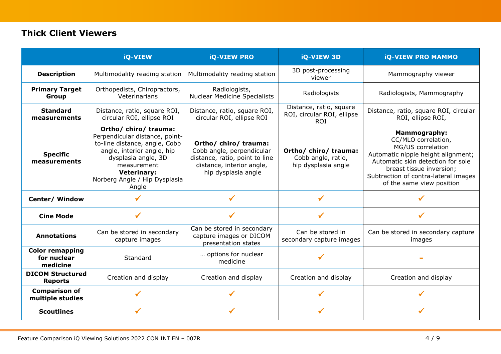## **Thick Client Viewers**

|                                                   | <b>iQ-VIEW</b>                                                                                                                                                                                                               | <b>iQ-VIEW PRO</b>                                                                                                                       | <b>iQ-VIEW 3D</b>                                                   | <b>iQ-VIEW PRO MAMMO</b>                                                                                                                                                                                                                    |
|---------------------------------------------------|------------------------------------------------------------------------------------------------------------------------------------------------------------------------------------------------------------------------------|------------------------------------------------------------------------------------------------------------------------------------------|---------------------------------------------------------------------|---------------------------------------------------------------------------------------------------------------------------------------------------------------------------------------------------------------------------------------------|
| <b>Description</b>                                | Multimodality reading station                                                                                                                                                                                                | Multimodality reading station                                                                                                            | 3D post-processing<br>viewer                                        | Mammography viewer                                                                                                                                                                                                                          |
| <b>Primary Target</b><br>Group                    | Orthopedists, Chiropractors,<br>Veterinarians                                                                                                                                                                                | Radiologists,<br><b>Nuclear Medicine Specialists</b>                                                                                     | Radiologists                                                        | Radiologists, Mammography                                                                                                                                                                                                                   |
| <b>Standard</b><br>measurements                   | Distance, ratio, square ROI,<br>circular ROI, ellipse ROI                                                                                                                                                                    | Distance, ratio, square ROI,<br>circular ROI, ellipse ROI                                                                                | Distance, ratio, square<br>ROI, circular ROI, ellipse<br><b>ROI</b> | Distance, ratio, square ROI, circular<br>ROI, ellipse ROI,                                                                                                                                                                                  |
| <b>Specific</b><br>measurements                   | Ortho/ chiro/ trauma:<br>Perpendicular distance, point-<br>to-line distance, angle, Cobb<br>angle, interior angle, hip<br>dysplasia angle, 3D<br>measurement<br><b>Veterinary:</b><br>Norberg Angle / Hip Dysplasia<br>Angle | Ortho/ chiro/ trauma:<br>Cobb angle, perpendicular<br>distance, ratio, point to line<br>distance, interior angle,<br>hip dysplasia angle | Ortho/ chiro/ trauma:<br>Cobb angle, ratio,<br>hip dysplasia angle  | <b>Mammography:</b><br>CC/MLO correlation,<br>MG/US correlation<br>Automatic nipple height alignment;<br>Automatic skin detection for sole<br>breast tissue inversion;<br>Subtraction of contra-lateral images<br>of the same view position |
| Center/ Window                                    |                                                                                                                                                                                                                              |                                                                                                                                          |                                                                     |                                                                                                                                                                                                                                             |
| <b>Cine Mode</b>                                  | $\checkmark$                                                                                                                                                                                                                 | $\checkmark$                                                                                                                             | ✓                                                                   |                                                                                                                                                                                                                                             |
| <b>Annotations</b>                                | Can be stored in secondary<br>capture images                                                                                                                                                                                 | Can be stored in secondary<br>capture images or DICOM<br>presentation states                                                             | Can be stored in<br>secondary capture images                        | Can be stored in secondary capture<br>images                                                                                                                                                                                                |
| <b>Color remapping</b><br>for nuclear<br>medicine | Standard                                                                                                                                                                                                                     | options for nuclear<br>medicine                                                                                                          |                                                                     |                                                                                                                                                                                                                                             |
| <b>DICOM Structured</b><br><b>Reports</b>         | Creation and display                                                                                                                                                                                                         | Creation and display                                                                                                                     | Creation and display                                                | Creation and display                                                                                                                                                                                                                        |
| <b>Comparison of</b><br>multiple studies          |                                                                                                                                                                                                                              | ✔                                                                                                                                        |                                                                     |                                                                                                                                                                                                                                             |
| <b>Scoutlines</b>                                 |                                                                                                                                                                                                                              |                                                                                                                                          |                                                                     |                                                                                                                                                                                                                                             |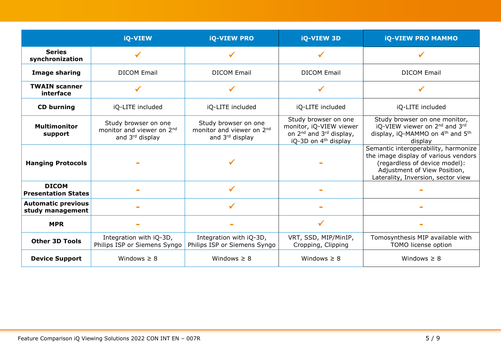|                                               | iQ-VIEW                                                                          | <b>iQ-VIEW PRO</b>                                                   | iQ-VIEW 3D                                                                                                                             | <b>iQ-VIEW PRO MAMMO</b>                                                                                                                                                            |
|-----------------------------------------------|----------------------------------------------------------------------------------|----------------------------------------------------------------------|----------------------------------------------------------------------------------------------------------------------------------------|-------------------------------------------------------------------------------------------------------------------------------------------------------------------------------------|
| <b>Series</b><br>synchronization              | $\checkmark$                                                                     | $\checkmark$                                                         | $\checkmark$                                                                                                                           |                                                                                                                                                                                     |
| <b>Image sharing</b>                          | <b>DICOM Email</b>                                                               | <b>DICOM Email</b>                                                   | <b>DICOM Email</b>                                                                                                                     | <b>DICOM Email</b>                                                                                                                                                                  |
| <b>TWAIN scanner</b><br>interface             |                                                                                  | $\checkmark$                                                         |                                                                                                                                        |                                                                                                                                                                                     |
| <b>CD burning</b>                             | iQ-LITE included                                                                 | iQ-LITE included                                                     | iQ-LITE included                                                                                                                       | iQ-LITE included                                                                                                                                                                    |
| <b>Multimonitor</b><br>support                | Study browser on one<br>monitor and viewer on 2nd<br>and 3 <sup>rd</sup> display | Study browser on one<br>monitor and viewer on 2nd<br>and 3rd display | Study browser on one<br>monitor, iQ-VIEW viewer<br>on 2 <sup>nd</sup> and 3 <sup>rd</sup> display,<br>iQ-3D on 4 <sup>th</sup> display | Study browser on one monitor,<br>iQ-VIEW viewer on 2 <sup>nd</sup> and 3rd<br>display, iQ-MAMMO on 4 <sup>th</sup> and 5 <sup>th</sup><br>display                                   |
| <b>Hanging Protocols</b>                      |                                                                                  |                                                                      |                                                                                                                                        | Semantic interoperability, harmonize<br>the image display of various vendors<br>(regardless of device model):<br>Adjustment of View Position,<br>Laterality, Inversion, sector view |
| <b>DICOM</b><br><b>Presentation States</b>    |                                                                                  | $\checkmark$                                                         |                                                                                                                                        |                                                                                                                                                                                     |
| <b>Automatic previous</b><br>study management |                                                                                  | $\checkmark$                                                         |                                                                                                                                        |                                                                                                                                                                                     |
| <b>MPR</b>                                    |                                                                                  |                                                                      |                                                                                                                                        |                                                                                                                                                                                     |
| <b>Other 3D Tools</b>                         | Integration with iQ-3D,<br>Philips ISP or Siemens Syngo                          | Integration with iQ-3D,<br>Philips ISP or Siemens Syngo              | VRT, SSD, MIP/MinIP,<br>Cropping, Clipping                                                                                             | Tomosynthesis MIP available with<br>TOMO license option                                                                                                                             |
| <b>Device Support</b>                         | Windows $\geq 8$                                                                 | Windows $\geq 8$                                                     | Windows $\geq 8$                                                                                                                       | Windows $\geq 8$                                                                                                                                                                    |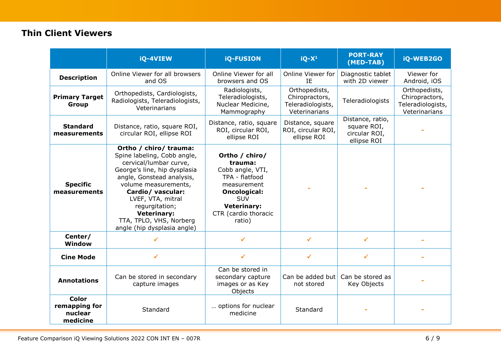## **Thin Client Viewers**

|                                                      | iQ-4VIEW                                                                                                                                                                                                                                                                                                         | <b>iQ-FUSION</b>                                                                                                                                                     | $iQ-X^1$                                                              | <b>PORT-RAY</b><br>(MED-TAB)                                    | iQ-WEB2GO                                                             |
|------------------------------------------------------|------------------------------------------------------------------------------------------------------------------------------------------------------------------------------------------------------------------------------------------------------------------------------------------------------------------|----------------------------------------------------------------------------------------------------------------------------------------------------------------------|-----------------------------------------------------------------------|-----------------------------------------------------------------|-----------------------------------------------------------------------|
| <b>Description</b>                                   | Online Viewer for all browsers<br>and OS                                                                                                                                                                                                                                                                         | Online Viewer for all<br>browsers and OS                                                                                                                             | Online Viewer for<br>IE                                               | Diagnostic tablet<br>with 2D viewer                             | Viewer for<br>Android, iOS                                            |
| <b>Primary Target</b><br>Group                       | Orthopedists, Cardiologists,<br>Radiologists, Teleradiologists,<br>Veterinarians                                                                                                                                                                                                                                 | Radiologists,<br>Teleradiologists,<br>Nuclear Medicine,<br>Mammography                                                                                               | Orthopedists,<br>Chiropractors,<br>Teleradiologists,<br>Veterinarians | Teleradiologists                                                | Orthopedists,<br>Chiropractors,<br>Teleradiologists,<br>Veterinarians |
| <b>Standard</b><br>measurements                      | Distance, ratio, square ROI,<br>circular ROI, ellipse ROI                                                                                                                                                                                                                                                        | Distance, ratio, square<br>ROI, circular ROI,<br>ellipse ROI                                                                                                         | Distance, square<br>ROI, circular ROI,<br>ellipse ROI                 | Distance, ratio,<br>square ROI,<br>circular ROI,<br>ellipse ROI |                                                                       |
| <b>Specific</b><br>measurements                      | Ortho / chiro/ trauma:<br>Spine labeling, Cobb angle,<br>cervical/lumbar curve,<br>George's line, hip dysplasia<br>angle, Gonstead analysis,<br>volume measurements,<br>Cardio/ vascular:<br>LVEF, VTA, mitral<br>regurgitation;<br><b>Veterinary:</b><br>TTA, TPLO, VHS, Norberg<br>angle (hip dysplasia angle) | Ortho / chiro/<br>trauma:<br>Cobb angle, VTI,<br>TPA - flatfood<br>measurement<br><b>Oncological:</b><br>SUV<br><b>Veterinary:</b><br>CTR (cardio thoracic<br>ratio) |                                                                       |                                                                 |                                                                       |
| Center/<br>Window                                    |                                                                                                                                                                                                                                                                                                                  | $\checkmark$                                                                                                                                                         | $\checkmark$                                                          | $\checkmark$                                                    |                                                                       |
| <b>Cine Mode</b>                                     | ✓                                                                                                                                                                                                                                                                                                                | $\checkmark$                                                                                                                                                         | $\checkmark$                                                          |                                                                 |                                                                       |
| <b>Annotations</b>                                   | Can be stored in secondary<br>capture images                                                                                                                                                                                                                                                                     | Can be stored in<br>secondary capture<br>images or as Key<br>Objects                                                                                                 | Can be added but<br>not stored                                        | Can be stored as<br>Key Objects                                 |                                                                       |
| <b>Color</b><br>remapping for<br>nuclear<br>medicine | Standard                                                                                                                                                                                                                                                                                                         | options for nuclear<br>medicine                                                                                                                                      | Standard                                                              |                                                                 |                                                                       |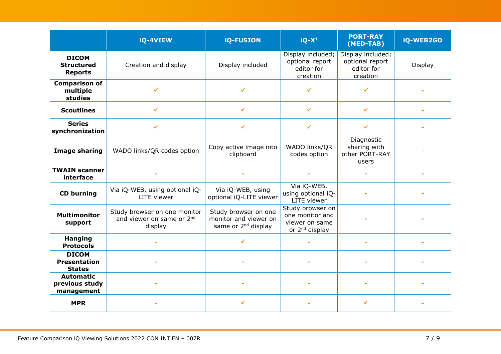|                                                      | iQ-4VIEW                                                                         | <b>iQ-FUSION</b>                                                                 | $iQ-X1$                                                                             | <b>PORT-RAY</b><br>(MED-TAB)                                   | iQ-WEB2GO |
|------------------------------------------------------|----------------------------------------------------------------------------------|----------------------------------------------------------------------------------|-------------------------------------------------------------------------------------|----------------------------------------------------------------|-----------|
| <b>DICOM</b><br><b>Structured</b><br><b>Reports</b>  | Creation and display                                                             | Display included                                                                 | Display included;<br>optional report<br>editor for<br>creation                      | Display included;<br>optional report<br>editor for<br>creation | Display   |
| <b>Comparison of</b><br>multiple<br>studies          | ✔                                                                                | ✔                                                                                | $\checkmark$                                                                        | ✓                                                              |           |
| <b>Scoutlines</b>                                    |                                                                                  | ✔                                                                                | ✔                                                                                   | ✓                                                              |           |
| <b>Series</b><br>synchronization                     | $\checkmark$                                                                     | ✓                                                                                | $\checkmark$                                                                        | ✔                                                              |           |
| <b>Image sharing</b>                                 | WADO links/QR codes option                                                       | Copy active image into<br>clipboard                                              | WADO links/QR<br>codes option                                                       | Diagnostic<br>sharing with<br>other PORT-RAY<br>users          |           |
| <b>TWAIN scanner</b><br>interface                    |                                                                                  |                                                                                  |                                                                                     |                                                                |           |
| <b>CD burning</b>                                    | Via iQ-WEB, using optional iQ-<br><b>LITE</b> viewer                             | Via iQ-WEB, using<br>optional iQ-LITE viewer                                     | Via iQ-WEB,<br>using optional iQ-<br>LITE viewer                                    |                                                                |           |
| <b>Multimonitor</b><br>support                       | Study browser on one monitor<br>and viewer on same or 2 <sup>nd</sup><br>display | Study browser on one<br>monitor and viewer on<br>same or 2 <sup>nd</sup> display | Study browser on<br>one monitor and<br>viewer on same<br>or 2 <sup>nd</sup> display |                                                                |           |
| <b>Hanging</b><br><b>Protocols</b>                   |                                                                                  | ✔                                                                                |                                                                                     |                                                                |           |
| <b>DICOM</b><br><b>Presentation</b><br><b>States</b> |                                                                                  |                                                                                  |                                                                                     |                                                                |           |
| <b>Automatic</b><br>previous study<br>management     |                                                                                  |                                                                                  |                                                                                     |                                                                |           |
| <b>MPR</b>                                           |                                                                                  | ✔                                                                                |                                                                                     | ✔                                                              |           |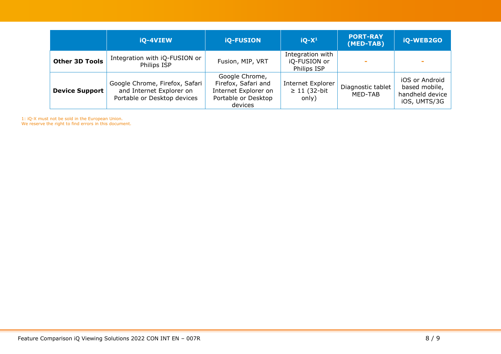|                       | iQ-4VIEW                                                                                  | <b>iQ-FUSION</b>                                                                                | $iQ-X^1$                                         | <b>PORT-RAY</b><br>(MED-TAB) | iQ-WEB2GO                                                          |
|-----------------------|-------------------------------------------------------------------------------------------|-------------------------------------------------------------------------------------------------|--------------------------------------------------|------------------------------|--------------------------------------------------------------------|
| <b>Other 3D Tools</b> | Integration with iQ-FUSION or<br>Philips ISP                                              | Fusion, MIP, VRT                                                                                | Integration with<br>iQ-FUSION or<br>Philips ISP  |                              |                                                                    |
| <b>Device Support</b> | Google Chrome, Firefox, Safari<br>and Internet Explorer on<br>Portable or Desktop devices | Google Chrome,<br>Firefox, Safari and<br>Internet Explorer on<br>Portable or Desktop<br>devices | Internet Explorer<br>$\geq 11$ (32-bit)<br>only) | Diagnostic tablet<br>MED-TAB | iOS or Android<br>based mobile,<br>handheld device<br>iOS, UMTS/3G |

1: iQ-X must not be sold in the European Union.

We reserve the right to find errors in this document.